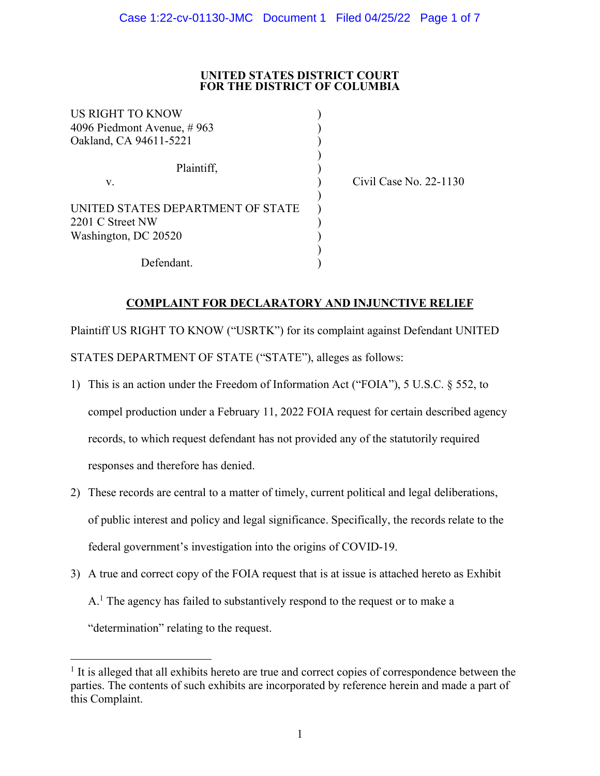## **UNITED STATES DISTRICT COURT FOR THE DISTRICT OF COLUMBIA**

| US RIGHT TO KNOW<br>4096 Piedmont Avenue, #963        |  |
|-------------------------------------------------------|--|
| Oakland, CA 94611-5221                                |  |
| Plaintiff,                                            |  |
| V.                                                    |  |
| UNITED STATES DEPARTMENT OF STATE<br>2201 C Street NW |  |
| Washington, DC 20520                                  |  |
| Defendant.                                            |  |

(ase No. 22-1130) Civil Case No. 22-1130

# **COMPLAINT FOR DECLARATORY AND INJUNCTIVE RELIEF**

Plaintiff US RIGHT TO KNOW ("USRTK") for its complaint against Defendant UNITED STATES DEPARTMENT OF STATE ("STATE"), alleges as follows:

- 1) This is an action under the Freedom of Information Act ("FOIA"), 5 U.S.C. § 552, to compel production under a February 11, 2022 FOIA request for certain described agency records, to which request defendant has not provided any of the statutorily required responses and therefore has denied.
- 2) These records are central to a matter of timely, current political and legal deliberations, of public interest and policy and legal significance. Specifically, the records relate to the federal government's investigation into the origins of COVID-19.
- 3) A true and correct copy of the FOIA request that is at issue is attached hereto as Exhibit  $A<sup>1</sup>$ . The agency has failed to substantively respond to the request or to make a "determination" relating to the request.

 $<sup>1</sup>$  It is alleged that all exhibits hereto are true and correct copies of correspondence between the</sup> parties. The contents of such exhibits are incorporated by reference herein and made a part of this Complaint.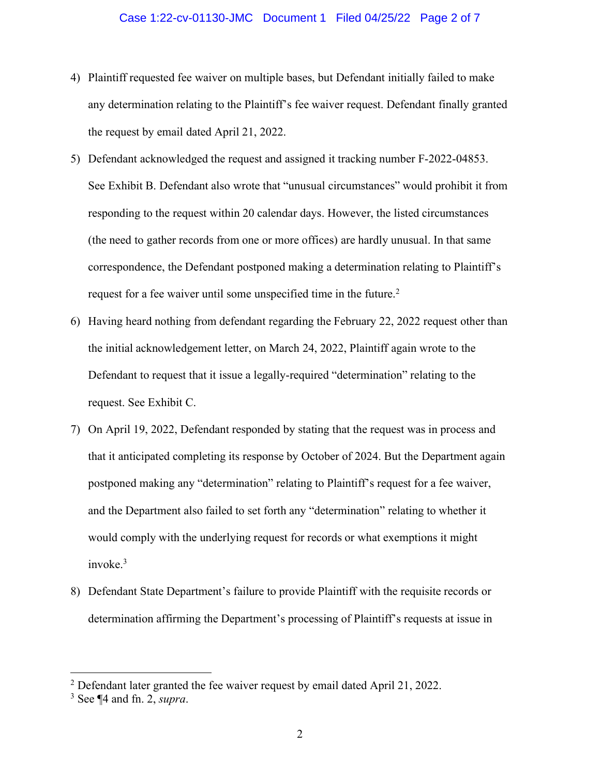## Case 1:22-cv-01130-JMC Document 1 Filed 04/25/22 Page 2 of 7

- 4) Plaintiff requested fee waiver on multiple bases, but Defendant initially failed to make any determination relating to the Plaintiff's fee waiver request. Defendant finally granted the request by email dated April 21, 2022.
- 5) Defendant acknowledged the request and assigned it tracking number F-2022-04853. See Exhibit B. Defendant also wrote that "unusual circumstances" would prohibit it from responding to the request within 20 calendar days. However, the listed circumstances (the need to gather records from one or more offices) are hardly unusual. In that same correspondence, the Defendant postponed making a determination relating to Plaintiff's request for a fee waiver until some unspecified time in the future.<sup>2</sup>
- 6) Having heard nothing from defendant regarding the February 22, 2022 request other than the initial acknowledgement letter, on March 24, 2022, Plaintiff again wrote to the Defendant to request that it issue a legally-required "determination" relating to the request. See Exhibit C.
- 7) On April 19, 2022, Defendant responded by stating that the request was in process and that it anticipated completing its response by October of 2024. But the Department again postponed making any "determination" relating to Plaintiff's request for a fee waiver, and the Department also failed to set forth any "determination" relating to whether it would comply with the underlying request for records or what exemptions it might invoke.3
- 8) Defendant State Department's failure to provide Plaintiff with the requisite records or determination affirming the Department's processing of Plaintiff's requests at issue in

<sup>&</sup>lt;sup>2</sup> Defendant later granted the fee waiver request by email dated April 21, 2022.

<sup>3</sup> See ¶4 and fn. 2, *supra*.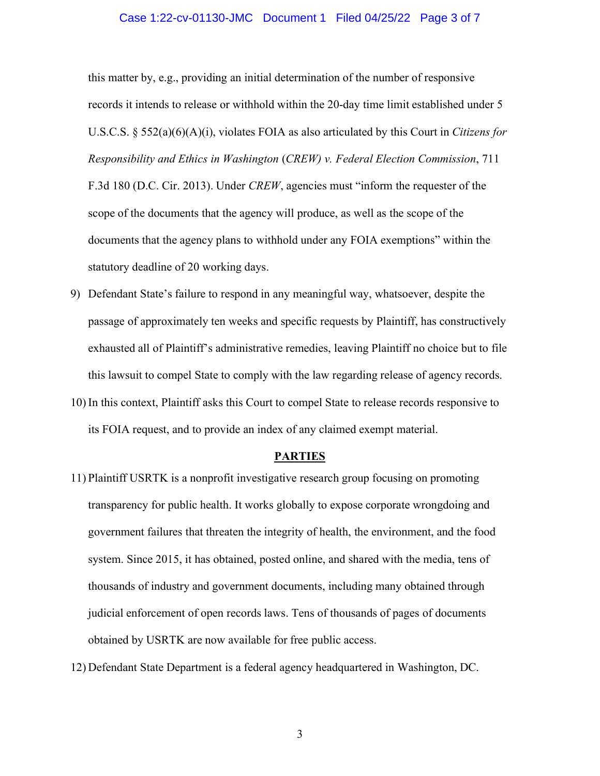#### Case 1:22-cv-01130-JMC Document 1 Filed 04/25/22 Page 3 of 7

this matter by, e.g., providing an initial determination of the number of responsive records it intends to release or withhold within the 20-day time limit established under 5 U.S.C.S. § 552(a)(6)(A)(i), violates FOIA as also articulated by this Court in *Citizens for Responsibility and Ethics in Washington* (*CREW) v. Federal Election Commission*, 711 F.3d 180 (D.C. Cir. 2013). Under *CREW*, agencies must "inform the requester of the scope of the documents that the agency will produce, as well as the scope of the documents that the agency plans to withhold under any FOIA exemptions" within the statutory deadline of 20 working days.

- 9) Defendant State's failure to respond in any meaningful way, whatsoever, despite the passage of approximately ten weeks and specific requests by Plaintiff, has constructively exhausted all of Plaintiff's administrative remedies, leaving Plaintiff no choice but to file this lawsuit to compel State to comply with the law regarding release of agency records.
- 10) In this context, Plaintiff asks this Court to compel State to release records responsive to its FOIA request, and to provide an index of any claimed exempt material.

#### **PARTIES**

- 11) Plaintiff USRTK is a nonprofit investigative research group focusing on promoting transparency for public health. It works globally to expose corporate wrongdoing and government failures that threaten the integrity of health, the environment, and the food system. Since 2015, it has obtained, posted online, and shared with the media, tens of thousands of industry and government documents, including many obtained through judicial enforcement of open records laws. Tens of thousands of pages of documents obtained by USRTK are now available for free public access.
- 12) Defendant State Department is a federal agency headquartered in Washington, DC.

3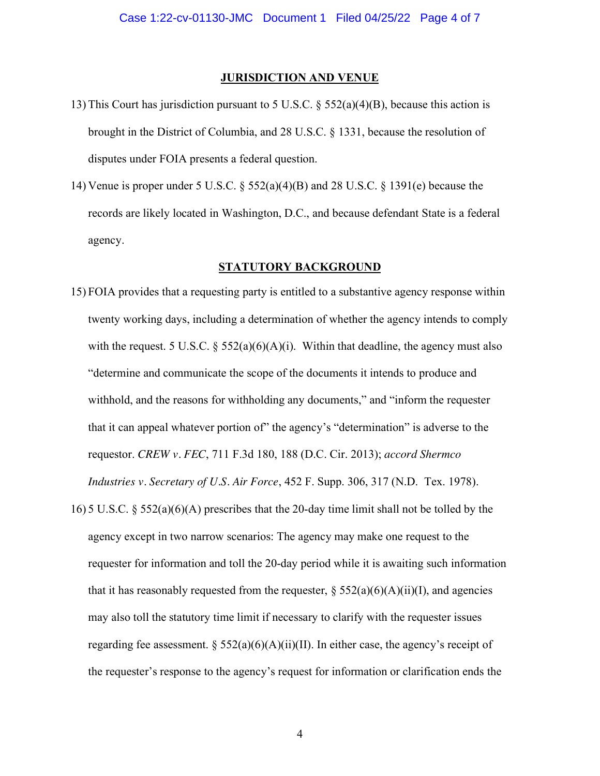#### **JURISDICTION AND VENUE**

- 13) This Court has jurisdiction pursuant to 5 U.S.C. § 552(a)(4)(B), because this action is brought in the District of Columbia, and 28 U.S.C. § 1331, because the resolution of disputes under FOIA presents a federal question.
- 14) Venue is proper under 5 U.S.C. § 552(a)(4)(B) and 28 U.S.C. § 1391(e) because the records are likely located in Washington, D.C., and because defendant State is a federal agency.

## **STATUTORY BACKGROUND**

- 15) FOIA provides that a requesting party is entitled to a substantive agency response within twenty working days, including a determination of whether the agency intends to comply with the request. 5 U.S.C.  $\S$  552(a)(6)(A)(i). Within that deadline, the agency must also "determine and communicate the scope of the documents it intends to produce and withhold, and the reasons for withholding any documents," and "inform the requester that it can appeal whatever portion of" the agency's "determination" is adverse to the requestor. *CREW v. FEC*, 711 F.3d 180, 188 (D.C. Cir. 2013); *accord Shermco Industries v. Secretary of U.S. Air Force*, 452 F. Supp. 306, 317 (N.D. Tex. 1978).
- 16) 5 U.S.C.  $\S 552(a)(6)(A)$  prescribes that the 20-day time limit shall not be tolled by the agency except in two narrow scenarios: The agency may make one request to the requester for information and toll the 20-day period while it is awaiting such information that it has reasonably requested from the requester,  $\S 552(a)(6)(A)(ii)(I)$ , and agencies may also toll the statutory time limit if necessary to clarify with the requester issues regarding fee assessment. §  $552(a)(6)(A)(ii)(II)$ . In either case, the agency's receipt of the requester's response to the agency's request for information or clarification ends the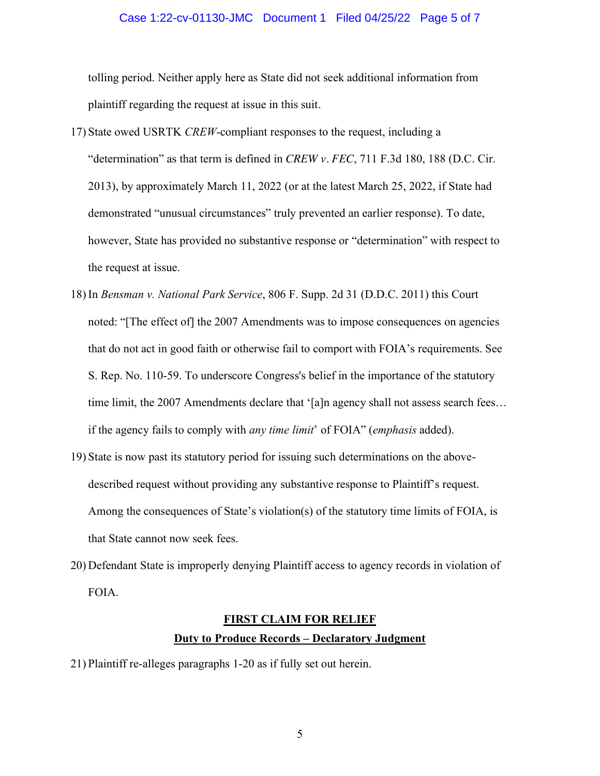#### Case 1:22-cv-01130-JMC Document 1 Filed 04/25/22 Page 5 of 7

tolling period. Neither apply here as State did not seek additional information from plaintiff regarding the request at issue in this suit.

- 17) State owed USRTK *CREW*-compliant responses to the request, including a "determination" as that term is defined in *CREW v. FEC*, 711 F.3d 180, 188 (D.C. Cir. 2013), by approximately March 11, 2022 (or at the latest March 25, 2022, if State had demonstrated "unusual circumstances" truly prevented an earlier response). To date, however, State has provided no substantive response or "determination" with respect to the request at issue.
- 18) In *Bensman v. National Park Service*, 806 F. Supp. 2d 31 (D.D.C. 2011) this Court noted: "[The effect of] the 2007 Amendments was to impose consequences on agencies that do not act in good faith or otherwise fail to comport with FOIA's requirements. See S. Rep. No. 110-59. To underscore Congress's belief in the importance of the statutory time limit, the 2007 Amendments declare that '[a]n agency shall not assess search fees… if the agency fails to comply with *any time limit*' of FOIA" (*emphasis* added).
- 19) State is now past its statutory period for issuing such determinations on the abovedescribed request without providing any substantive response to Plaintiff's request. Among the consequences of State's violation(s) of the statutory time limits of FOIA, is that State cannot now seek fees.
- 20) Defendant State is improperly denying Plaintiff access to agency records in violation of FOIA.

# **FIRST CLAIM FOR RELIEF Duty to Produce Records – Declaratory Judgment**

21) Plaintiff re-alleges paragraphs 1-20 as if fully set out herein.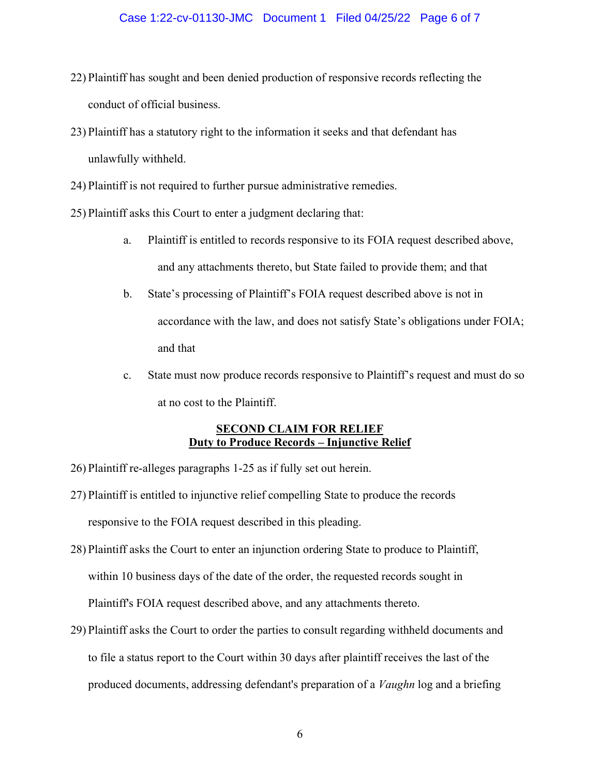## Case 1:22-cv-01130-JMC Document 1 Filed 04/25/22 Page 6 of 7

- 22) Plaintiff has sought and been denied production of responsive records reflecting the conduct of official business.
- 23) Plaintiff has a statutory right to the information it seeks and that defendant has unlawfully withheld.
- 24) Plaintiff is not required to further pursue administrative remedies.
- 25) Plaintiff asks this Court to enter a judgment declaring that:
	- a. Plaintiff is entitled to records responsive to its FOIA request described above, and any attachments thereto, but State failed to provide them; and that
	- b. State's processing of Plaintiff's FOIA request described above is not in accordance with the law, and does not satisfy State's obligations under FOIA; and that
	- c. State must now produce records responsive to Plaintiff's request and must do so at no cost to the Plaintiff.

# **SECOND CLAIM FOR RELIEF Duty to Produce Records – Injunctive Relief**

- 26) Plaintiff re-alleges paragraphs 1-25 as if fully set out herein.
- 27) Plaintiff is entitled to injunctive relief compelling State to produce the records responsive to the FOIA request described in this pleading.
- 28) Plaintiff asks the Court to enter an injunction ordering State to produce to Plaintiff, within 10 business days of the date of the order, the requested records sought in Plaintiff's FOIA request described above, and any attachments thereto.
- 29) Plaintiff asks the Court to order the parties to consult regarding withheld documents and to file a status report to the Court within 30 days after plaintiff receives the last of the produced documents, addressing defendant's preparation of a *Vaughn* log and a briefing